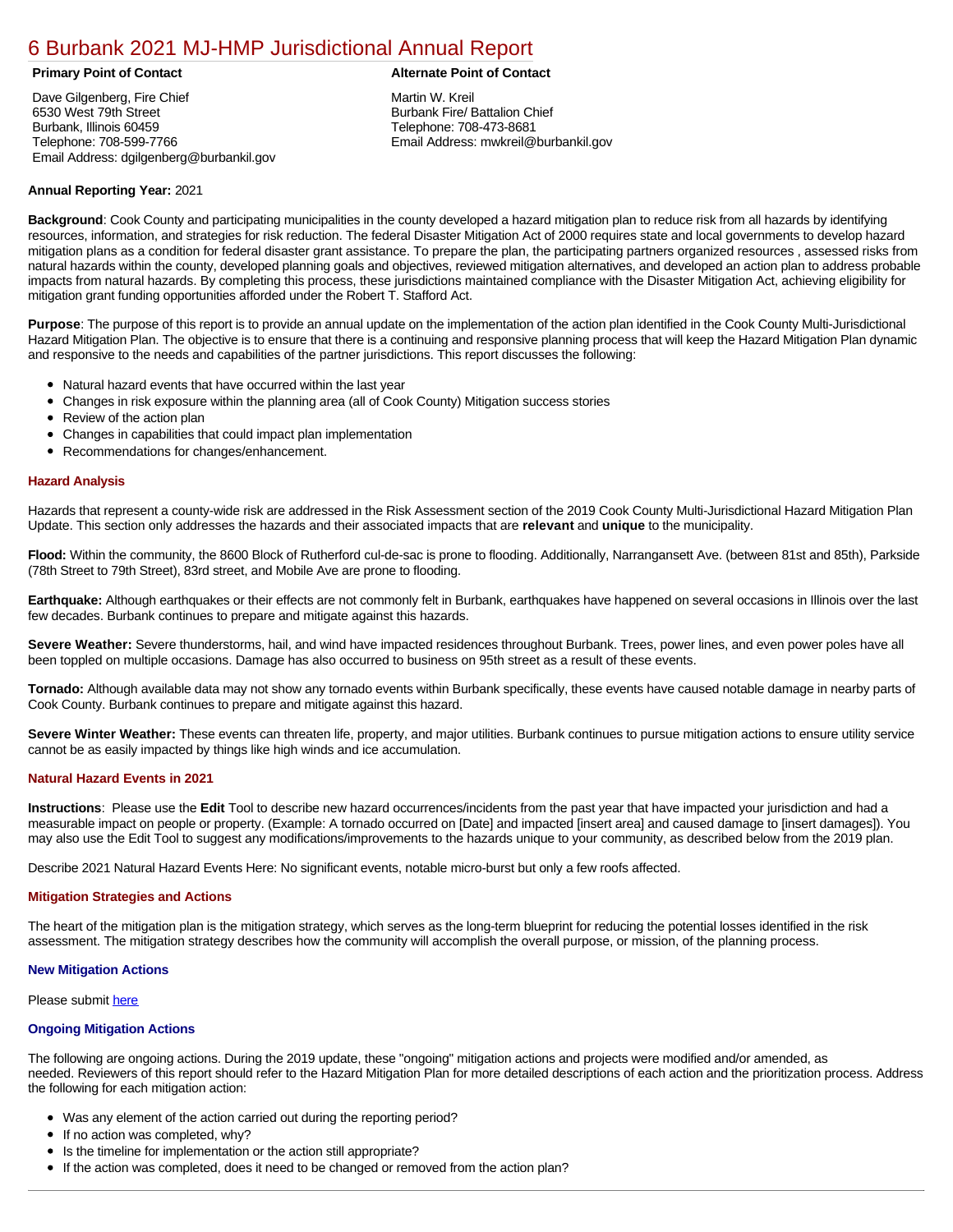# [6 Burbank 2021 MJ-HMP Jurisdictional Annual Report](https://burbank.isc-cemp.com/Cemp/Details?id=8322820)

Dave Gilgenberg, Fire Chief 6530 West 79th Street Burbank, Illinois 60459 Telephone: 708-599-7766 Email Address: dgilgenberg@burbankil.gov

## **Primary Point of Contact Alternate Point of Contact**

Martin W. Kreil Burbank Fire/ Battalion Chief Telephone: 708-473-8681 Email Address: mwkreil@burbankil.gov

#### **Annual Reporting Year:** 2021

**Background**: Cook County and participating municipalities in the county developed a hazard mitigation plan to reduce risk from all hazards by identifying resources, information, and strategies for risk reduction. The federal Disaster Mitigation Act of 2000 requires state and local governments to develop hazard mitigation plans as a condition for federal disaster grant assistance. To prepare the plan, the participating partners organized resources , assessed risks from natural hazards within the county, developed planning goals and objectives, reviewed mitigation alternatives, and developed an action plan to address probable impacts from natural hazards. By completing this process, these jurisdictions maintained compliance with the Disaster Mitigation Act, achieving eligibility for mitigation grant funding opportunities afforded under the Robert T. Stafford Act.

**Purpose**: The purpose of this report is to provide an annual update on the implementation of the action plan identified in the Cook County Multi-Jurisdictional Hazard Mitigation Plan. The objective is to ensure that there is a continuing and responsive planning process that will keep the Hazard Mitigation Plan dynamic and responsive to the needs and capabilities of the partner jurisdictions. This report discusses the following:

- Natural hazard events that have occurred within the last year
- $\bullet$ Changes in risk exposure within the planning area (all of Cook County) Mitigation success stories
- Review of the action plan  $\bullet$
- $\bullet$ Changes in capabilities that could impact plan implementation
- Recommendations for changes/enhancement.  $\bullet$

#### **Hazard Analysis**

Hazards that represent a county-wide risk are addressed in the Risk Assessment section of the 2019 Cook County Multi-Jurisdictional Hazard Mitigation Plan Update. This section only addresses the hazards and their associated impacts that are **relevant** and **unique** to the municipality.

**Flood:** Within the community, the 8600 Block of Rutherford cul-de-sac is prone to flooding. Additionally, Narrangansett Ave. (between 81st and 85th), Parkside (78th Street to 79th Street), 83rd street, and Mobile Ave are prone to flooding.

**Earthquake:** Although earthquakes or their effects are not commonly felt in Burbank, earthquakes have happened on several occasions in Illinois over the last few decades. Burbank continues to prepare and mitigate against this hazards.

**Severe Weather:** Severe thunderstorms, hail, and wind have impacted residences throughout Burbank. Trees, power lines, and even power poles have all been toppled on multiple occasions. Damage has also occurred to business on 95th street as a result of these events.

**Tornado:** Although available data may not show any tornado events within Burbank specifically, these events have caused notable damage in nearby parts of Cook County. Burbank continues to prepare and mitigate against this hazard.

**Severe Winter Weather:** These events can threaten life, property, and major utilities. Burbank continues to pursue mitigation actions to ensure utility service cannot be as easily impacted by things like high winds and ice accumulation.

### **Natural Hazard Events in 2021**

**Instructions**: Please use the **Edit** Tool to describe new hazard occurrences/incidents from the past year that have impacted your jurisdiction and had a measurable impact on people or property. (Example: A tornado occurred on [Date] and impacted [insert area] and caused damage to [insert damages]). You may also use the Edit Tool to suggest any modifications/improvements to the hazards unique to your community, as described below from the 2019 plan.

Describe 2021 Natural Hazard Events Here: No significant events, notable micro-burst but only a few roofs affected.

#### **Mitigation Strategies and Actions**

The heart of the mitigation plan is the mitigation strategy, which serves as the long-term blueprint for reducing the potential losses identified in the risk assessment. The mitigation strategy describes how the community will accomplish the overall purpose, or mission, of the planning process.

#### **New Mitigation Actions**

Please submit [here](https://integratedsolutions.wufoo.com/forms/mg21jvf0jn639o/)

#### **Ongoing Mitigation Actions**

The following are ongoing actions. During the 2019 update, these "ongoing" mitigation actions and projects were modified and/or amended, as needed. Reviewers of this report should refer to the Hazard Mitigation Plan for more detailed descriptions of each action and the prioritization process. Address the following for each mitigation action:

- Was any element of the action carried out during the reporting period?
- If no action was completed, why?
- Is the timeline for implementation or the action still appropriate?
- If the action was completed, does it need to be changed or removed from the action plan?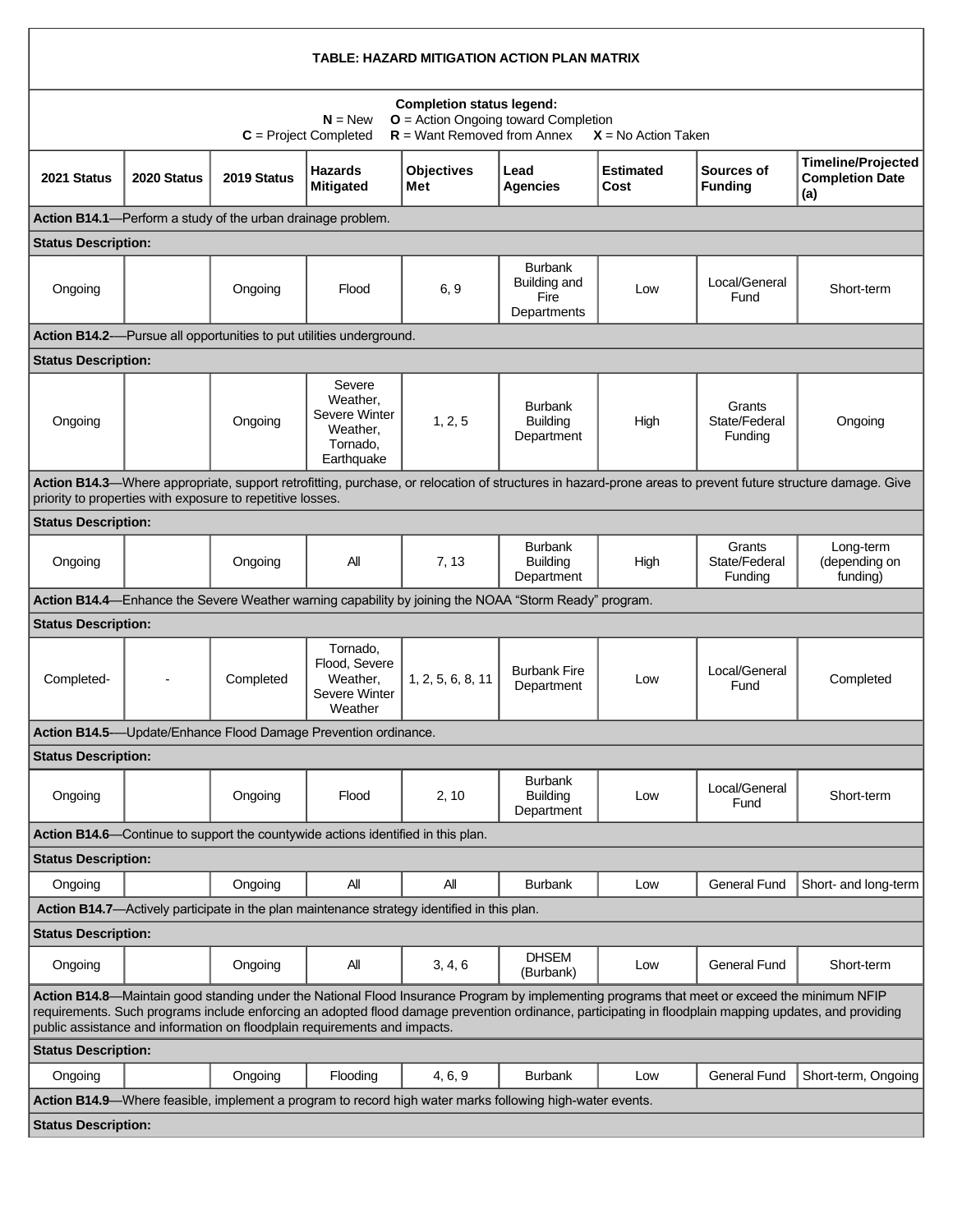| TABLE: HAZARD MITIGATION ACTION PLAN MATRIX                                                                                                                                                                                                                                                                                                                                         |             |             |                                                                                  |                                                                                                       |                                                       |                          |                                    |                                                            |  |  |  |  |
|-------------------------------------------------------------------------------------------------------------------------------------------------------------------------------------------------------------------------------------------------------------------------------------------------------------------------------------------------------------------------------------|-------------|-------------|----------------------------------------------------------------------------------|-------------------------------------------------------------------------------------------------------|-------------------------------------------------------|--------------------------|------------------------------------|------------------------------------------------------------|--|--|--|--|
| <b>Completion status legend:</b><br><b>O</b> = Action Ongoing toward Completion<br>$N = New$<br>$R =$ Want Removed from Annex<br>$C = Project Completed$<br>$X = No$ Action Taken                                                                                                                                                                                                   |             |             |                                                                                  |                                                                                                       |                                                       |                          |                                    |                                                            |  |  |  |  |
| 2021 Status                                                                                                                                                                                                                                                                                                                                                                         | 2020 Status | 2019 Status | <b>Hazards</b><br><b>Mitigated</b>                                               | <b>Objectives</b><br>Met                                                                              | Lead<br><b>Agencies</b>                               | <b>Estimated</b><br>Cost | Sources of<br><b>Funding</b>       | <b>Timeline/Projected</b><br><b>Completion Date</b><br>(a) |  |  |  |  |
| Action B14.1-Perform a study of the urban drainage problem.                                                                                                                                                                                                                                                                                                                         |             |             |                                                                                  |                                                                                                       |                                                       |                          |                                    |                                                            |  |  |  |  |
| <b>Status Description:</b>                                                                                                                                                                                                                                                                                                                                                          |             |             |                                                                                  |                                                                                                       |                                                       |                          |                                    |                                                            |  |  |  |  |
| Ongoing                                                                                                                                                                                                                                                                                                                                                                             |             | Ongoing     | Flood                                                                            | 6, 9                                                                                                  | <b>Burbank</b><br>Building and<br>Fire<br>Departments | Low                      | Local/General<br>Fund              | Short-term                                                 |  |  |  |  |
|                                                                                                                                                                                                                                                                                                                                                                                     |             |             | Action B14.2--Pursue all opportunities to put utilities underground.             |                                                                                                       |                                                       |                          |                                    |                                                            |  |  |  |  |
| <b>Status Description:</b>                                                                                                                                                                                                                                                                                                                                                          |             |             |                                                                                  |                                                                                                       |                                                       |                          |                                    |                                                            |  |  |  |  |
| Ongoing                                                                                                                                                                                                                                                                                                                                                                             |             | Ongoing     | Severe<br>Weather,<br>Severe Winter<br>Weather,<br>Tornado,<br>Earthquake        | 1, 2, 5                                                                                               | <b>Burbank</b><br><b>Building</b><br>Department       | High                     | Grants<br>State/Federal<br>Funding | Ongoing                                                    |  |  |  |  |
| Action B14.3-Where appropriate, support retrofitting, purchase, or relocation of structures in hazard-prone areas to prevent future structure damage. Give<br>priority to properties with exposure to repetitive losses.                                                                                                                                                            |             |             |                                                                                  |                                                                                                       |                                                       |                          |                                    |                                                            |  |  |  |  |
| <b>Status Description:</b>                                                                                                                                                                                                                                                                                                                                                          |             |             |                                                                                  |                                                                                                       |                                                       |                          |                                    |                                                            |  |  |  |  |
| Ongoing                                                                                                                                                                                                                                                                                                                                                                             |             | Ongoing     | All                                                                              | 7, 13                                                                                                 | <b>Burbank</b><br><b>Building</b><br>Department       | High                     | Grants<br>State/Federal<br>Funding | Long-term<br>(depending on<br>funding)                     |  |  |  |  |
|                                                                                                                                                                                                                                                                                                                                                                                     |             |             |                                                                                  | Action B14.4—Enhance the Severe Weather warning capability by joining the NOAA "Storm Ready" program. |                                                       |                          |                                    |                                                            |  |  |  |  |
| <b>Status Description:</b>                                                                                                                                                                                                                                                                                                                                                          |             |             |                                                                                  |                                                                                                       |                                                       |                          |                                    |                                                            |  |  |  |  |
| Completed-                                                                                                                                                                                                                                                                                                                                                                          |             | Completed   | Tornado,<br>Flood, Severe<br>Weather.<br>Severe Winter<br>Weather                | 1, 2, 5, 6, 8, 11                                                                                     | <b>Burbank Fire</b><br>Department                     | Low                      | Local/General<br>Fund              | Completed                                                  |  |  |  |  |
| Action B14.5- Update/Enhance Flood Damage Prevention ordinance.                                                                                                                                                                                                                                                                                                                     |             |             |                                                                                  |                                                                                                       |                                                       |                          |                                    |                                                            |  |  |  |  |
| <b>Status Description:</b>                                                                                                                                                                                                                                                                                                                                                          |             |             |                                                                                  |                                                                                                       |                                                       |                          |                                    |                                                            |  |  |  |  |
| Ongoing                                                                                                                                                                                                                                                                                                                                                                             |             | Ongoing     | Flood                                                                            | 2, 10                                                                                                 | <b>Burbank</b><br><b>Building</b><br>Department       | Low                      | Local/General<br>Fund              | Short-term                                                 |  |  |  |  |
|                                                                                                                                                                                                                                                                                                                                                                                     |             |             | Action B14.6—Continue to support the countywide actions identified in this plan. |                                                                                                       |                                                       |                          |                                    |                                                            |  |  |  |  |
| <b>Status Description:</b>                                                                                                                                                                                                                                                                                                                                                          |             |             |                                                                                  |                                                                                                       |                                                       |                          |                                    |                                                            |  |  |  |  |
| Ongoing                                                                                                                                                                                                                                                                                                                                                                             |             | Ongoing     | ΑIΙ                                                                              | All                                                                                                   | <b>Burbank</b>                                        | Low                      | <b>General Fund</b>                | Short- and long-term                                       |  |  |  |  |
|                                                                                                                                                                                                                                                                                                                                                                                     |             |             |                                                                                  | Action B14.7-Actively participate in the plan maintenance strategy identified in this plan.           |                                                       |                          |                                    |                                                            |  |  |  |  |
| <b>Status Description:</b>                                                                                                                                                                                                                                                                                                                                                          |             |             |                                                                                  |                                                                                                       |                                                       |                          |                                    |                                                            |  |  |  |  |
| Ongoing                                                                                                                                                                                                                                                                                                                                                                             |             | Ongoing     | All                                                                              | 3, 4, 6                                                                                               | <b>DHSEM</b><br>(Burbank)                             | Low                      | <b>General Fund</b>                | Short-term                                                 |  |  |  |  |
| Action B14.8—Maintain good standing under the National Flood Insurance Program by implementing programs that meet or exceed the minimum NFIP<br>requirements. Such programs include enforcing an adopted flood damage prevention ordinance, participating in floodplain mapping updates, and providing<br>public assistance and information on floodplain requirements and impacts. |             |             |                                                                                  |                                                                                                       |                                                       |                          |                                    |                                                            |  |  |  |  |
| <b>Status Description:</b>                                                                                                                                                                                                                                                                                                                                                          |             |             |                                                                                  |                                                                                                       |                                                       |                          |                                    |                                                            |  |  |  |  |
| Ongoing                                                                                                                                                                                                                                                                                                                                                                             |             | Ongoing     | Flooding                                                                         | 4, 6, 9                                                                                               | <b>Burbank</b>                                        | Low                      | <b>General Fund</b>                | Short-term, Ongoing                                        |  |  |  |  |
| Action B14.9—Where feasible, implement a program to record high water marks following high-water events.                                                                                                                                                                                                                                                                            |             |             |                                                                                  |                                                                                                       |                                                       |                          |                                    |                                                            |  |  |  |  |
| <b>Status Description:</b>                                                                                                                                                                                                                                                                                                                                                          |             |             |                                                                                  |                                                                                                       |                                                       |                          |                                    |                                                            |  |  |  |  |